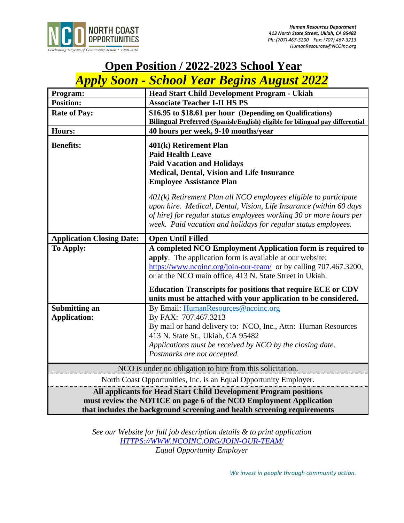

# **Open Position / 2022-2023 School Year**

# *Apply Soon - School Year Begins August 2022*

| Program:                                                                                                                                                                                                            | <b>Head Start Child Development Program - Ukiah</b>                                                                                                                                                                                                                                                                           |
|---------------------------------------------------------------------------------------------------------------------------------------------------------------------------------------------------------------------|-------------------------------------------------------------------------------------------------------------------------------------------------------------------------------------------------------------------------------------------------------------------------------------------------------------------------------|
| <b>Position:</b>                                                                                                                                                                                                    | <b>Associate Teacher I-II HS PS</b>                                                                                                                                                                                                                                                                                           |
| <b>Rate of Pay:</b>                                                                                                                                                                                                 | \$16.95 to \$18.61 per hour (Depending on Qualifications)                                                                                                                                                                                                                                                                     |
|                                                                                                                                                                                                                     | Bilingual Preferred (Spanish/English) eligible for bilingual pay differential                                                                                                                                                                                                                                                 |
| <b>Hours:</b>                                                                                                                                                                                                       | 40 hours per week, 9-10 months/year                                                                                                                                                                                                                                                                                           |
| <b>Benefits:</b>                                                                                                                                                                                                    | 401(k) Retirement Plan                                                                                                                                                                                                                                                                                                        |
|                                                                                                                                                                                                                     | <b>Paid Health Leave</b>                                                                                                                                                                                                                                                                                                      |
|                                                                                                                                                                                                                     | <b>Paid Vacation and Holidays</b>                                                                                                                                                                                                                                                                                             |
|                                                                                                                                                                                                                     | Medical, Dental, Vision and Life Insurance                                                                                                                                                                                                                                                                                    |
|                                                                                                                                                                                                                     | <b>Employee Assistance Plan</b>                                                                                                                                                                                                                                                                                               |
|                                                                                                                                                                                                                     | $401(k)$ Retirement Plan all NCO employees eligible to participate<br>upon hire. Medical, Dental, Vision, Life Insurance (within 60 days<br>of hire) for regular status employees working 30 or more hours per<br>week. Paid vacation and holidays for regular status employees.                                              |
|                                                                                                                                                                                                                     |                                                                                                                                                                                                                                                                                                                               |
| <b>Application Closing Date:</b>                                                                                                                                                                                    | <b>Open Until Filled</b>                                                                                                                                                                                                                                                                                                      |
| <b>To Apply:</b>                                                                                                                                                                                                    | A completed NCO Employment Application form is required to<br>apply. The application form is available at our website:<br>https://www.ncoinc.org/join-our-team/ or by calling 707.467.3200,<br>or at the NCO main office, 413 N. State Street in Ukiah.<br><b>Education Transcripts for positions that require ECE or CDV</b> |
|                                                                                                                                                                                                                     | units must be attached with your application to be considered.                                                                                                                                                                                                                                                                |
| <b>Submitting an</b><br><b>Application:</b>                                                                                                                                                                         | By Email: HumanResources@ncoinc.org<br>By FAX: 707.467.3213<br>By mail or hand delivery to: NCO, Inc., Attn: Human Resources<br>413 N. State St., Ukiah, CA 95482<br>Applications must be received by NCO by the closing date.<br>Postmarks are not accepted.                                                                 |
| NCO is under no obligation to hire from this solicitation.                                                                                                                                                          |                                                                                                                                                                                                                                                                                                                               |
| North Coast Opportunities, Inc. is an Equal Opportunity Employer.                                                                                                                                                   |                                                                                                                                                                                                                                                                                                                               |
| All applicants for Head Start Child Development Program positions<br>must review the NOTICE on page 6 of the NCO Employment Application<br>that includes the background screening and health screening requirements |                                                                                                                                                                                                                                                                                                                               |

*See our Website for full job description details & to print application [HTTPS://WWW.NCOINC.ORG/JOIN-OUR-TEAM/](https://www.ncoinc.org/join-our-team/) Equal Opportunity Employer*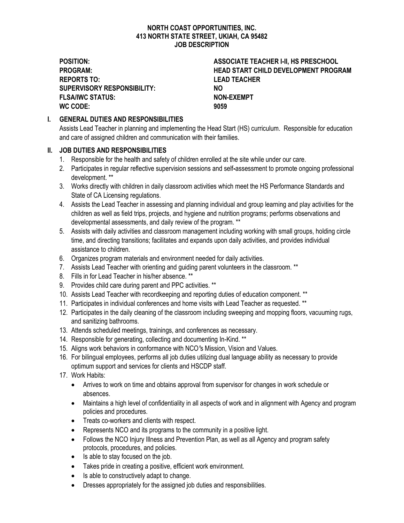#### **NORTH COAST OPPORTUNITIES, INC. 413 NORTH STATE STREET, UKIAH, CA 95482 JOB DESCRIPTION**

**REPORTS TO: LEAD TEACHER SUPERVISORY RESPONSIBILITY: NO FLSA/IWC STATUS: NON-EXEMPT WC CODE: 9059**

**POSITION: ASSOCIATE TEACHER I-II, HS PRESCHOOL PROGRAM: HEAD START CHILD DEVELOPMENT PROGRAM**

## **I. GENERAL DUTIES AND RESPONSIBILITIES**

Assists Lead Teacher in planning and implementing the Head Start (HS) curriculum. Responsible for education and care of assigned children and communication with their families.

### **II. JOB DUTIES AND RESPONSIBILITIES**

- 1. Responsible for the health and safety of children enrolled at the site while under our care.
- 2. Participates in regular reflective supervision sessions and self**-**assessment to promote ongoing professional development. \*\*
- 3. Works directly with children in daily classroom activities which meet the HS Performance Standards and State of CA Licensing regulations.
- 4. Assists the Lead Teacher in assessing and planning individual and group learning and play activities for the children as well as field trips, projects, and hygiene and nutrition programs; performs observations and developmental assessments, and daily review of the program. \*\*
- 5. Assists with daily activities and classroom management including working with small groups, holding circle time, and directing transitions; facilitates and expands upon daily activities, and provides individual assistance to children.
- 6. Organizes program materials and environment needed for daily activities.
- 7. Assists Lead Teacher with orienting and guiding parent volunteers in the classroom. \*\*
- 8. Fills in for Lead Teacher in his/her absence. \*\*
- 9. Provides child care during parent and PPC activities. \*\*
- 10. Assists Lead Teacher with recordkeeping and reporting duties of education component. \*\*
- 11. Participates in individual conferences and home visits with Lead Teacher as requested. \*\*
- 12. Participates in the daily cleaning of the classroom including sweeping and mopping floors, vacuuming rugs, and sanitizing bathrooms.
- 13. Attends scheduled meetings, trainings, and conferences as necessary.
- 14. Responsible for generating, collecting and documenting In-Kind. \*\*
- 15. Aligns work behaviors in conformance with NCO*'*s Mission, Vision and Values.
- 16. For bilingual employees, performs all job duties utilizing dual language ability as necessary to provide optimum support and services for clients and HSCDP staff.
- 17. Work Habits:
	- Arrives to work on time and obtains approval from supervisor for changes in work schedule or absences.
	- Maintains a high level of confidentiality in all aspects of work and in alignment with Agency and program policies and procedures.
	- Treats co-workers and clients with respect.
	- Represents NCO and its programs to the community in a positive light.
	- Follows the NCO Injury Illness and Prevention Plan, as well as all Agency and program safety protocols, procedures, and policies.
	- Is able to stay focused on the job.
	- Takes pride in creating a positive, efficient work environment.
	- Is able to constructively adapt to change.
	- Dresses appropriately for the assigned job duties and responsibilities.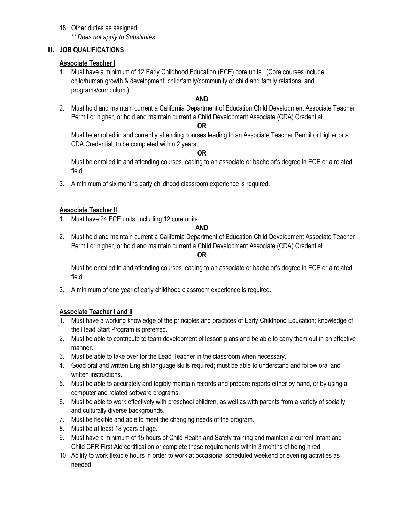18. Other duties as assigned. *\*\* Does not apply to Substitutes*

## **III. JOB QUALIFICATIONS**

## **Associate Teacher I**

1. Must have a minimum of 12 Early Childhood Education (ECE) core units. (Core courses include child/human growth & development; child/family/community or child and family relations; and programs/curriculum.)

## **AND**

2. Must hold and maintain current a California Department of Education Child Development Associate Teacher Permit or higher, or hold and maintain current a Child Development Associate (CDA) Credential.

#### **OR**

Must be enrolled in and currently attending courses leading to an Associate Teacher Permit or higher or a CDA Credential, to be completed within 2 years.

#### **OR**

Must be enrolled in and attending courses leading to an associate or bachelor's degree in ECE or a related field.

3. A minimum of six months early childhood classroom experience is required.

#### **Associate Teacher II**

1. Must have 24 ECE units, including 12 core units.

#### **AND**

2. Must hold and maintain current a California Department of Education Child Development Associate Teacher Permit or higher, or hold and maintain current a Child Development Associate (CDA) Credential.

#### **OR**

Must be enrolled in and attending courses leading to an associate or bachelor's degree in ECE or a related field.

3. A minimum of one year of early childhood classroom experience is required.

## **Associate Teacher I and II**

- 1. Must have a working knowledge of the principles and practices of Early Childhood Education; knowledge of the Head Start Program is preferred.
- 2. Must be able to contribute to team development of lesson plans and be able to carry them out in an effective manner.
- 3. Must be able to take over for the Lead Teacher in the classroom when necessary.
- 4. Good oral and written English language skills required; must be able to understand and follow oral and written instructions.
- 5. Must be able to accurately and legibly maintain records and prepare reports either by hand, or by using a computer and related software programs.
- 6. Must be able to work effectively with preschool children, as well as with parents from a variety of socially and culturally diverse backgrounds.
- 7. Must be flexible and able to meet the changing needs of the program.
- 8. Must be at least 18 years of age.
- 9. Must have a minimum of 15 hours of Child Health and Safety training and maintain a current Infant and Child CPR First Aid certification or complete these requirements within 3 months of being hired.
- 10. Ability to work flexible hours in order to work at occasional scheduled weekend or evening activities as needed.